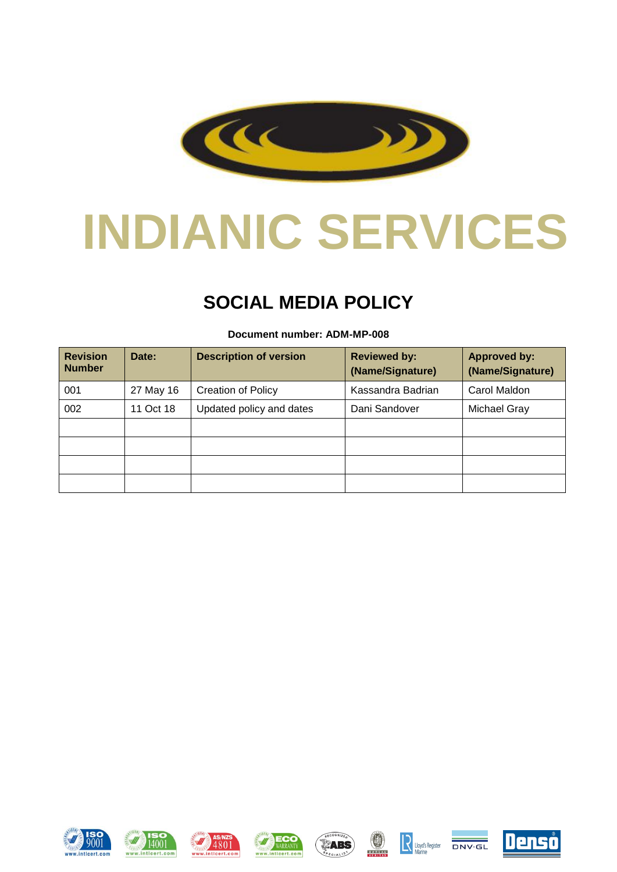

# **INDIANIC SERVICES**

## **SOCIAL MEDIA POLICY**

## **Revision Number** Date: **Description of version Reviewed by: (Name/Signature) Approved by: (Name/Signature)** 001 | 27 May 16 | Creation of Policy | Kassandra Badrian | Carol Maldon 002 | 11 Oct 18 | Updated policy and dates | Dani Sandover | Michael Gray

#### **Document number: ADM-MP-008**

















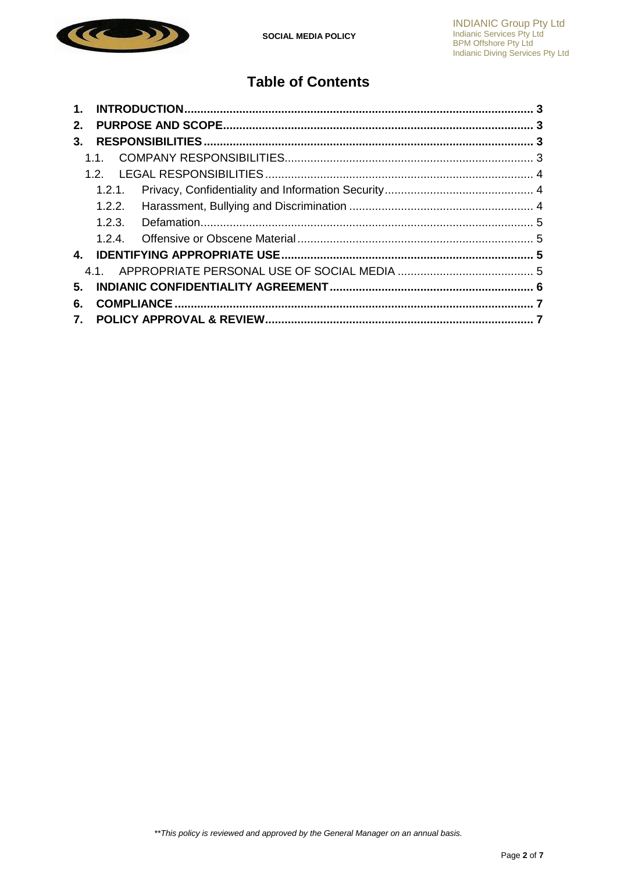

## **Table of Contents**

<span id="page-1-0"></span>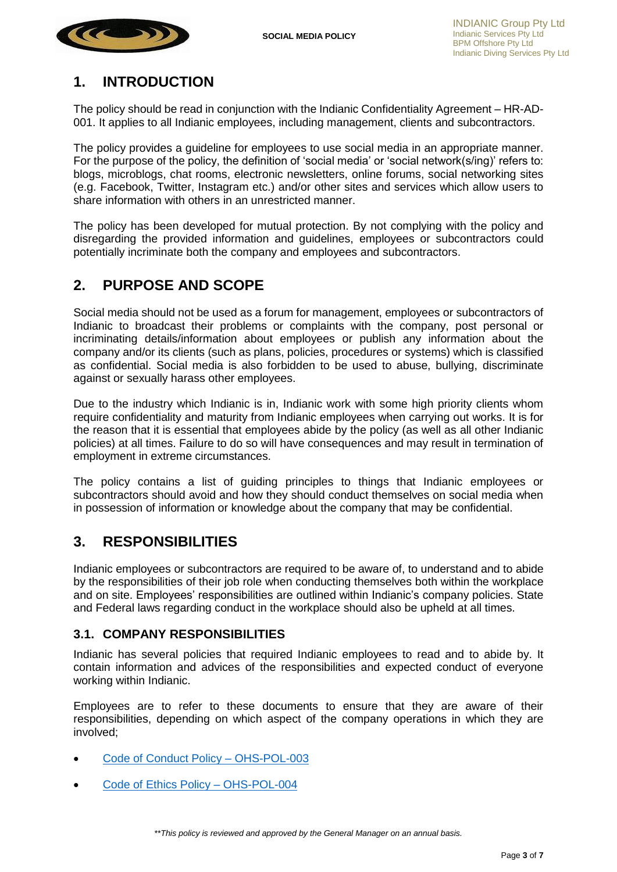

## **1. INTRODUCTION**

The policy should be read in conjunction with the Indianic Confidentiality Agreement – HR-AD-001. It applies to all Indianic employees, including management, clients and subcontractors.

The policy provides a guideline for employees to use social media in an appropriate manner. For the purpose of the policy, the definition of 'social media' or 'social network(s/ing)' refers to: blogs, microblogs, chat rooms, electronic newsletters, online forums, social networking sites (e.g. Facebook, Twitter, Instagram etc.) and/or other sites and services which allow users to share information with others in an unrestricted manner.

The policy has been developed for mutual protection. By not complying with the policy and disregarding the provided information and guidelines, employees or subcontractors could potentially incriminate both the company and employees and subcontractors.

## <span id="page-2-0"></span>**2. PURPOSE AND SCOPE**

Social media should not be used as a forum for management, employees or subcontractors of Indianic to broadcast their problems or complaints with the company, post personal or incriminating details/information about employees or publish any information about the company and/or its clients (such as plans, policies, procedures or systems) which is classified as confidential. Social media is also forbidden to be used to abuse, bullying, discriminate against or sexually harass other employees.

Due to the industry which Indianic is in, Indianic work with some high priority clients whom require confidentiality and maturity from Indianic employees when carrying out works. It is for the reason that it is essential that employees abide by the policy (as well as all other Indianic policies) at all times. Failure to do so will have consequences and may result in termination of employment in extreme circumstances.

The policy contains a list of guiding principles to things that Indianic employees or subcontractors should avoid and how they should conduct themselves on social media when in possession of information or knowledge about the company that may be confidential.

## <span id="page-2-1"></span>**3. RESPONSIBILITIES**

Indianic employees or subcontractors are required to be aware of, to understand and to abide by the responsibilities of their job role when conducting themselves both within the workplace and on site. Employees' responsibilities are outlined within Indianic's company policies. State and Federal laws regarding conduct in the workplace should also be upheld at all times.

#### <span id="page-2-2"></span>**3.1. COMPANY RESPONSIBILITIES**

Indianic has several policies that required Indianic employees to read and to abide by. It contain information and advices of the responsibilities and expected conduct of everyone working within Indianic.

Employees are to refer to these documents to ensure that they are aware of their responsibilities, depending on which aspect of the company operations in which they are involved;

- [Code of Conduct Policy –](file://///INDIANICDC/Forms/Library/Policies/OHS-POL-003%20Rev%20009%20Code%20of%20Conduct%20Policy.pdf) OHS-POL-003
- [Code of Ethics Policy –](file://///INDIANICDC/Forms/Library/Policies/WorkInProgress/OHS-POL-004_1%20Code%20of%20Ethics%20Policy.docx) OHS-POL-004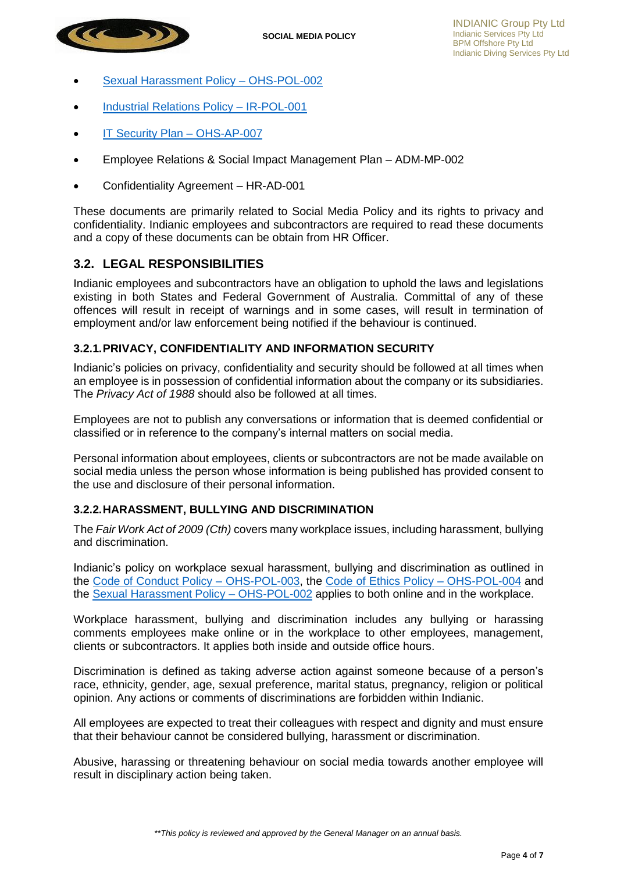

- [Sexual Harassment Policy –](file://///INDIANICDC/Forms/Library/Policies/WorkInProgress/OHS-POL-002_6%20Sexual%20Harassment%20Policy.docx) OHS-POL-002
- [Industrial Relations Policy –](file://///INDIANICDC/Forms/Library/Policies/IR-POL-001_4%20Industrial%20Relations%20Policy.pdf) IR-POL-001
- [IT Security Plan –](file://///INDIANICDC/Forms/Library/Plans/OSH-AP-007%20Rev%20003%20IT%20-%20Security%20Plan.docx) OHS-AP-007
- Employee Relations & Social Impact Management Plan ADM-MP-002
- Confidentiality Agreement HR-AD-001

These documents are primarily related to Social Media Policy and its rights to privacy and confidentiality. Indianic employees and subcontractors are required to read these documents and a copy of these documents can be obtain from HR Officer.

#### <span id="page-3-0"></span>**3.2. LEGAL RESPONSIBILITIES**

Indianic employees and subcontractors have an obligation to uphold the laws and legislations existing in both States and Federal Government of Australia. Committal of any of these offences will result in receipt of warnings and in some cases, will result in termination of employment and/or law enforcement being notified if the behaviour is continued.

#### <span id="page-3-1"></span>**3.2.1.PRIVACY, CONFIDENTIALITY AND INFORMATION SECURITY**

Indianic's policies on privacy, confidentiality and security should be followed at all times when an employee is in possession of confidential information about the company or its subsidiaries. The *Privacy Act of 1988* should also be followed at all times.

Employees are not to publish any conversations or information that is deemed confidential or classified or in reference to the company's internal matters on social media.

Personal information about employees, clients or subcontractors are not be made available on social media unless the person whose information is being published has provided consent to the use and disclosure of their personal information.

#### <span id="page-3-2"></span>**3.2.2.HARASSMENT, BULLYING AND DISCRIMINATION**

The *Fair Work Act of 2009 (Cth)* covers many workplace issues, including harassment, bullying and discrimination.

Indianic's policy on workplace sexual harassment, bullying and discrimination as outlined in the [Code of Conduct Policy –](file://///INDIANICDC/Forms/Library/Policies/WorkInProgress/OHS-POL-003_9%20Code%20of%20Conduct%20Policy.docx) OHS-POL-003, the [Code of Ethics Policy –](file://///INDIANICDC/Forms/Library/Policies/WorkInProgress/OHS-POL-004_1%20Code%20of%20Ethics%20Policy.docx) OHS-POL-004 and the [Sexual Harassment Policy –](file://///INDIANICDC/Forms/Library/Policies/WorkInProgress/OHS-POL-002_6%20Sexual%20Harassment%20Policy.docx) OHS-POL-002 applies to both online and in the workplace.

Workplace harassment, bullying and discrimination includes any bullying or harassing comments employees make online or in the workplace to other employees, management, clients or subcontractors. It applies both inside and outside office hours.

Discrimination is defined as taking adverse action against someone because of a person's race, ethnicity, gender, age, sexual preference, marital status, pregnancy, religion or political opinion. Any actions or comments of discriminations are forbidden within Indianic.

All employees are expected to treat their colleagues with respect and dignity and must ensure that their behaviour cannot be considered bullying, harassment or discrimination.

Abusive, harassing or threatening behaviour on social media towards another employee will result in disciplinary action being taken.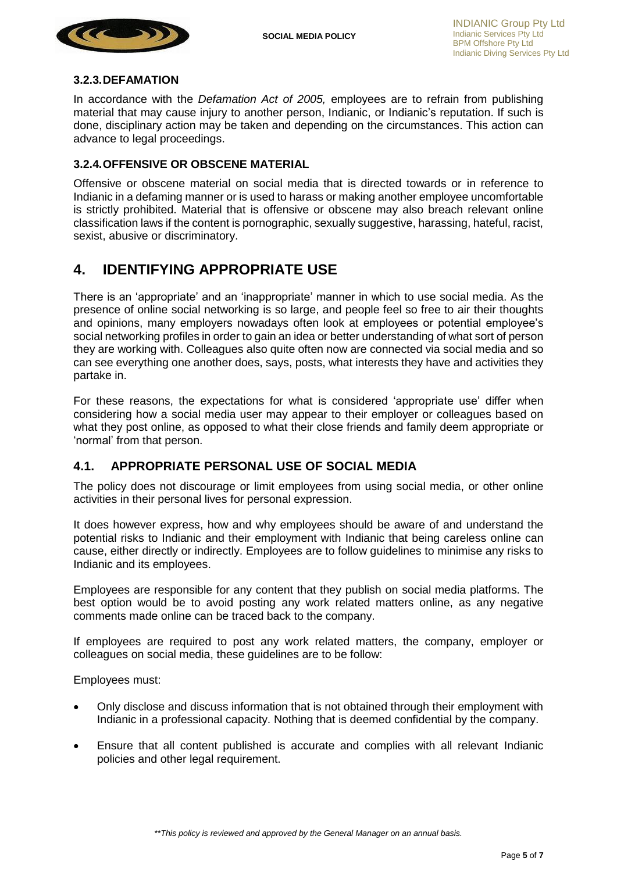<span id="page-4-3"></span>

#### <span id="page-4-0"></span>**3.2.3.DEFAMATION**

In accordance with the *Defamation Act of 2005,* employees are to refrain from publishing material that may cause injury to another person, Indianic, or Indianic's reputation. If such is done, disciplinary action may be taken and depending on the circumstances. This action can advance to legal proceedings.

#### <span id="page-4-1"></span>**3.2.4.OFFENSIVE OR OBSCENE MATERIAL**

Offensive or obscene material on social media that is directed towards or in reference to Indianic in a defaming manner or is used to harass or making another employee uncomfortable is strictly prohibited. Material that is offensive or obscene may also breach relevant online classification laws if the content is pornographic, sexually suggestive, harassing, hateful, racist, sexist, abusive or discriminatory.

## <span id="page-4-2"></span>**4. IDENTIFYING APPROPRIATE USE**

There is an 'appropriate' and an 'inappropriate' manner in which to use social media. As the presence of online social networking is so large, and people feel so free to air their thoughts and opinions, many employers nowadays often look at employees or potential employee's social networking profiles in order to gain an idea or better understanding of what sort of person they are working with. Colleagues also quite often now are connected via social media and so can see everything one another does, says, posts, what interests they have and activities they partake in.

For these reasons, the expectations for what is considered 'appropriate use' differ when considering how a social media user may appear to their employer or colleagues based on what they post online, as opposed to what their close friends and family deem appropriate or 'normal' from that person.

#### **4.1. APPROPRIATE PERSONAL USE OF SOCIAL MEDIA**

The policy does not discourage or limit employees from using social media, or other online activities in their personal lives for personal expression.

It does however express, how and why employees should be aware of and understand the potential risks to Indianic and their employment with Indianic that being careless online can cause, either directly or indirectly. Employees are to follow guidelines to minimise any risks to Indianic and its employees.

Employees are responsible for any content that they publish on social media platforms. The best option would be to avoid posting any work related matters online, as any negative comments made online can be traced back to the company.

If employees are required to post any work related matters, the company, employer or colleagues on social media, these guidelines are to be follow:

Employees must:

- Only disclose and discuss information that is not obtained through their employment with Indianic in a professional capacity. Nothing that is deemed confidential by the company.
- Ensure that all content published is accurate and complies with all relevant Indianic policies and other legal requirement.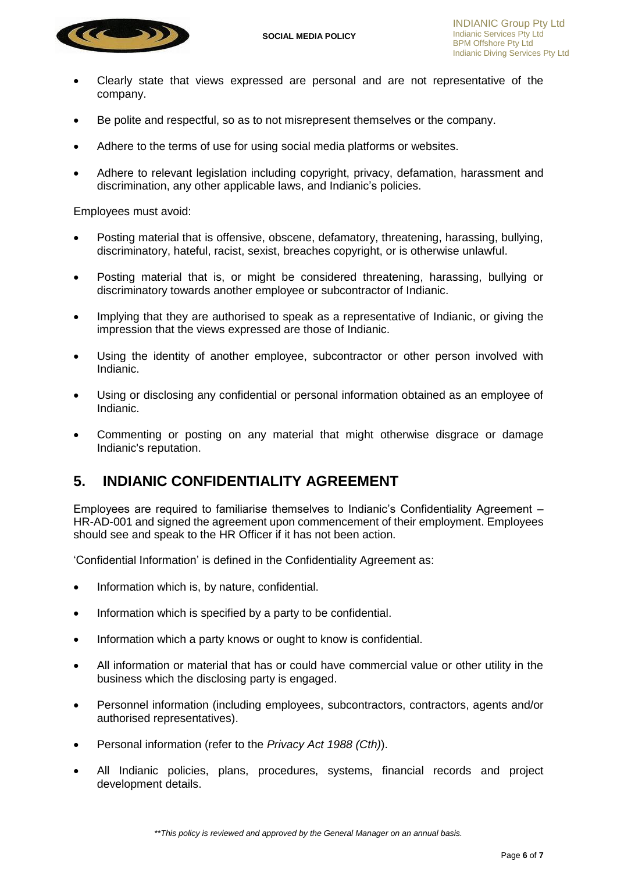

- Clearly state that views expressed are personal and are not representative of the company.
- Be polite and respectful, so as to not misrepresent themselves or the company.
- Adhere to the terms of use for using social media platforms or websites.
- Adhere to relevant legislation including copyright, privacy, defamation, harassment and discrimination, any other applicable laws, and Indianic's policies.

Employees must avoid:

- Posting material that is offensive, obscene, defamatory, threatening, harassing, bullying, discriminatory, hateful, racist, sexist, breaches copyright, or is otherwise unlawful.
- Posting material that is, or might be considered threatening, harassing, bullying or discriminatory towards another employee or subcontractor of Indianic.
- Implying that they are authorised to speak as a representative of Indianic, or giving the impression that the views expressed are those of Indianic.
- Using the identity of another employee, subcontractor or other person involved with Indianic.
- Using or disclosing any confidential or personal information obtained as an employee of Indianic.
- Commenting or posting on any material that might otherwise disgrace or damage Indianic's reputation.

## <span id="page-5-0"></span>**5. INDIANIC CONFIDENTIALITY AGREEMENT**

Employees are required to familiarise themselves to Indianic's Confidentiality Agreement – HR-AD-001 and signed the agreement upon commencement of their employment. Employees should see and speak to the HR Officer if it has not been action.

'Confidential Information' is defined in the Confidentiality Agreement as:

- Information which is, by nature, confidential.
- Information which is specified by a party to be confidential.
- Information which a party knows or ought to know is confidential.
- All information or material that has or could have commercial value or other utility in the business which the disclosing party is engaged.
- Personnel information (including employees, subcontractors, contractors, agents and/or authorised representatives).
- Personal information (refer to the *Privacy Act 1988 (Cth)*).
- All Indianic policies, plans, procedures, systems, financial records and project development details.